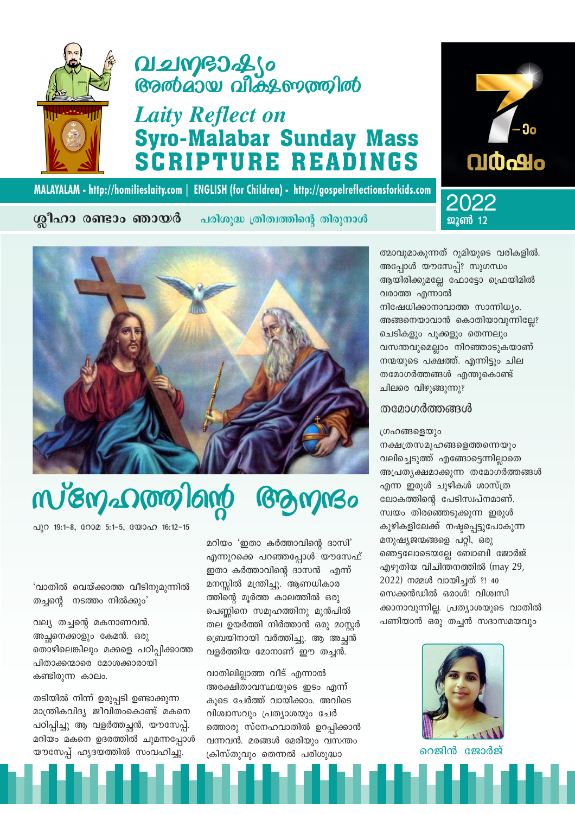തടിയിൽ നിന്ന് ഉരുപ്പടി ഉണ്ടാക്കുന്ന മാന്ത്രികവിദ്യ ജീവിതംകൊണ്ട് മകനെ പഠിപ്പിച്ചു ആ വളർത്തച്ചൻ, യൗസേപ്പ്. മറിയം മകനെ ഉദരത്തിൽ ചുമന്നപ്പോൾ യൗസേപ്പ് ഹൃദയത്തിൽ സംവഹിച്ചു.

'വാതിൽ വെയ്ക്കാത്ത വീടിനുമുന്നിൽ

തൊഴിലെങ്കിലും മക്കളെ പഠിപ്പിക്കാത്ത

തച്ചന്റെ നടത്തം നിൽക്കും'

വല്യ തച്ചന്റെ മകനാണവൻ.

അച്ഛനെക്കാളും കേമൻ. ഒരു

പിതാക്കന്മാരെ മോശക്കാരായി വാതിലില്ലാത്ത വീട് എന്നാൽ കണ്ടിരുന്ന കാലം. അരക്ഷിതാവസ്ഥയുടെ ഇടം എന്ന് കുടെ ചേർത്ത് വായിക്കാം. അവിടെ വിശ്വാസവും പ്രത്യാശയും ചേർ ത്തൊരു സ്നേഹവാതിൽ ഉറപ്പിക്കാൻ വന്നവൻ. മരങ്ങൾ മേരിയും വസന്തം

മറിയം 'ഇതാ കർത്താവിന്റെ ദാസി' എന്നുറക്കെ പറഞ്ഞപ്പോൾ യൗസേഫ് ഇതാ കർത്താവിന്റെ ദാസൻ എന്ന് മനസ്സിൽ മന്ത്രിച്ചു. ആണധികാര ത്തിന്റെ മൂർത്ത കാലത്തിൽ ഒരു പെണ്ണിനെ സമുഹത്തിനു മുൻപിൽ തല ഉയർത്തി നിർത്താൻ ഒരു മാസ്റ്റർ ബ്രെയിനായി വർത്തിച്ചു. ആ അച്ഛൻ വളർത്തിയ മോനാണ് ഈ തച്ചൻ.

ക്രിസ്തുവും തെന്നൽ പരിശുദ്ധാ





### MALAYALAM - http://homilieslaity.com | ENGLISH (for Children) - http://gospelreflectionsforkids.com



ശ്ലീഹാ രണ്ടാം ഞായർ

# **Q121MGD2S6**<br>முலைவை விக்டலையை

## **Laity Reflect on Syro-Malabar Sunday Mass SCRIPTURE READINGS**

പരിശുദ്ധ ത്രിത്വത്തിന്റെ തിരുനാൾ



ഗ്രഹങ്ങളെയും നക്ഷത്രസമൂഹങ്ങളെത്തന്നെയും വലിച്ചെടുത്ത് എങ്ങോട്ടെന്നില്ലാതെ അപ്രത്യക്ഷമാക്കുന്ന തമോഗർത്തങ്ങൾ എന്ന ഇരുൾ ചുഴികൾ ശാസ്ത്ര ലോകത്തിന്റെ പേടിസ്വപ്നമാണ്. സ്വയം തിരഞ്ഞെടുക്കുന്ന ഇരുൾ കുഴികളിലേക്ക് നഷ്ടപ്പെട്ടുപോകുന്ന മനുഷ്യജന്മങ്ങളെ പറ്റി, ഒരു ഞെട്ടലോടെയല്ലേ ബോബി ജോർജ് എഴുതിയ വിചിന്തനത്തിൽ (may 29, 2022) നമ്മൾ വായിച്ചത് ?! 40 സെക്കൻഡിൽ ഒരാൾ! വിശ്വസി ക്കാനാവുന്നില്ല. പ്രത്യാശയുടെ വാതിൽ പണിയാൻ ഒരു തച്ചൻ സദാസമയവും

#### തമോഗർത്തങ്ങൾ

ആയിരിക്കുമല്ലേ ഫോട്ടോ ഫ്രെയിമിൽ വരാത്ത എന്നാൽ നിഷേധിക്കാനാവാത്ത സാന്നിധ്യം. അങ്ങനെയാവാൻ കൊതിയാവുന്നില്ലേ? ചെടികളും പൂക്കളും തെന്നലും വസന്തവുമെല്ലാം നിറഞ്ഞാടുകയാണ് നന്മയുടെ പക്ഷത്ത്. എന്നിട്ടും ചില തമോഗർത്തങ്ങൾ എന്തുകൊണ്ട് ചിലരെ വിഴുങ്ങുന്നു?

ജൂൺ 12 ത്മാവുമാകുന്നത് റുമിയുടെ വരികളിൽ. അപ്പോൾ യൗസേപ്പ്? സുഗന്ധം

2022



റെജിൻ ജോർജ്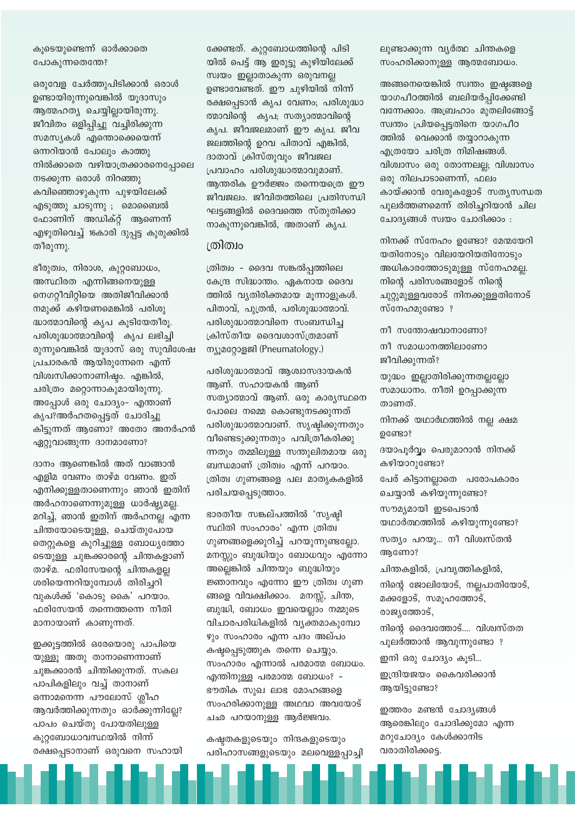കുടെയുണ്ടെന്ന് ഓർക്കാതെ പോകുന്നതെന്തേ?

ഒരുവേള ചേർത്തുപിടിക്കാൻ ഒരാൾ ഉണ്ടായിരുന്നുവെങ്കിൽ യൂദാസും ആത്മഹത്യ ചെയ്യില്ലായിരുന്നു. ജീവിതം ഒളിപ്പിച്ചു വച്ചിരിക്കുന്ന സമസ്യകൾ എന്തൊക്കെയെന്ന് ഒന്നറിയാൻ പോലും കാത്തു നിൽക്കാതെ വഴിയാത്രക്കാരനെപോലെ നടക്കുന്ന ഒരാൾ നിറഞ്ഞു കവിഞ്ഞൊഴുകുന്ന പുഴയിലേക്ക് എടുത്തു ചാടുന്നു ; മൊബൈൽ ഫോണിന് അഡിക്റ്റ് ആണെന്ന് എഴുതിവെച്ച് 16കാരി ദുപ്പട്ട കുരുക്കിൽ തീരുന്നു.

ഭീരുത്വം, നിരാശ, കുറ്റബോധം, അസ്ഥിരത എന്നിങ്ങനെയുള്ള നെഗറ്റീവിറ്റിയെ അതിജീവിക്കാൻ നമുക്ക് കഴിയണമെങ്കിൽ പരിശു ദ്ധാത്മാവിന്റെ കൃപ കൂടിയേതീരൂ. പരിശുദ്ധാത്മാവിന്റെ കൃപ ലഭിച്ചി രുന്നുവെങ്കിൽ യൂദാസ് ഒരു സുവിശേഷ പ്രചാരകൻ ആയിരുന്നേനെ എന്ന് വിശ്വസിക്കാനാണിഷ്ഠം. എങ്കിൽ, ചരിത്രം മറ്റൊന്നാകുമായിരുന്നു. അപ്പോൾ ഒരു ചോദ്യം- എന്താണ് കൃപ?അർഹതപ്പെട്ടത് ചോദിച്ചു കിട്ടുന്നത് ആണോ? അതോ അനർഹൻ ഏറ്റുവാങ്ങുന്ന ദാനമാണോ?

ദാനം ആണെങ്കിൽ അത് വാങ്ങാൻ എളിമ വേണം താഴ്മ വേണം. ഇത് എനിക്കുള്ളതാണെന്നും ഞാൻ ഇതിന് അർഹനാണെന്നുമുള്ള ധാർഷ്ട്യമല്ല. മറിച്ച്, ഞാൻ ഇതിന് അർഹനല്ല എന്ന ചിന്തയോടെയുള്ള, ചെയ്തുപോയ തെറ്റുകളെ കുറിച്ചുള്ള ബോധ്യത്തോ ടെയുള്ള ചുങ്കക്കാരന്റെ ചിന്തകളാണ് താഴ്മ. ഫരിസേയന്റെ ചിന്തകളല്ല ശരിയെന്നറിയുമ്പോൾ തിരിച്ചറി വുകൾക്ക് 'കൊടു കൈ' പറയാം. ഫരിസേയൻ തന്നെത്തന്നെ നീതി മാനായാണ് കാണുന്നത്.

ഇക്കുട്ടത്തിൽ ഒരേയൊരു പാപിയെ യുള്ളൂ അതു താനാണെന്നാണ് ചുങ്കക്കാരൻ ചിന്തിക്കുന്നത്. സകല പാപികളിലും വച്ച് താനാണ് ഒന്നാമനെന്ന പൗലോസ് ശ്ലീഹ ആവർത്തിക്കുന്നതും ഓർക്കുന്നില്ലേ? പാപം ചെയ്തു പോയതിലുള്ള കുറ്റബോധാവസ്ഥയിൽ നിന്ന് രക്ഷപ്പെടാനാണ് ഒരുവനെ സഹായി ക്കേണ്ടത്. കുറ്റബോധത്തിന്റെ പിടി യിൽ പെട്ട് ആ ഇരുട്ടു കുഴിയിലേക്ക് സ്വയം ഇല്ലാതാകുന്ന ഒരുവനല്ല ഉണ്ടാവേണ്ടത്. ഈ ചുഴിയിൽ നിന്ന് രക്ഷപ്പെടാൻ കൃപ വേണം; പരിശുദ്ധാ ത്മാവിന്റെ കൃപ; സത്യാത്മാവിന്റെ കൃപ. ജീവജലമാണ് ഈ കൃപ. ജീവ ജലത്തിന്റെ ഉറവ പിതാവ് എങ്കിൽ, ദാതാവ് ക്രിസ്തുവും ജീവജല പ്രവാഹം പരിശുദ്ധാത്മാവുമാണ്. ആന്തരിക ഊർജ്ജം തന്നെയത്രെ ഈ ജീവജലം. ജീവിതത്തിലെ പ്രതിസന്ധി ഘട്ടങ്ങളിൽ ദൈവത്തെ സ്തുതിക്കാ നാകുന്നുവെങ്കിൽ, അതാണ് കൃപ.

#### ത്രിത്വം

ത്രിത്വം - ദൈവ സങ്കൽപ്പത്തിലെ കേന്ദ്ര സിദ്ധാന്തം. ഏകനായ ദൈവ ത്തിൽ വ്യതിരിക്തമായ മൂന്നാളുകൾ. പിതാവ്, പുത്രൻ, പരിശുദ്ധാത്മാവ്. പരിശുദ്ധാത്മാവിനെ സംബന്ധിച്ച ക്രിസ്തീയ ദൈവശാസ്ത്രമാണ് ന്യൂമറ്റോളജി (Pneumatology.)

പരിശുദ്ധാത്മാവ് ആശ്വാസദായകൻ ആണ്. സഹായകൻ ആണ് സത്യാത്മാവ് ആണ്. ഒരു കാര്യസ്ഥനെ പോലെ നമ്മെ കൊണ്ടുനടക്കുന്നത് പരിശുദ്ധാത്മാവാണ്. സൃഷ്ടിക്കുന്നതും വീണ്ടെടുക്കുന്നതും പവിത്രീകരിക്കു ന്നതും തമ്മിലുള്ള സന്തുലിതമായ ഒരു ബന്ധമാണ് ത്രിത്വം എന്ന് പറയാം. ത്രിത്വ ഗുണങ്ങളെ പല മാതൃകകളിൽ പരിചയപ്പെടുത്താം.

ഭാരതീയ സങ്കല്പത്തിൽ 'സൃഷ്ടി സ്ഥിതി സംഹാരം' എന്ന ത്രിത്വ ഗുണങ്ങളെക്കുറിച്ച് പറയുന്നുണ്ടല്ലോ. മനസ്സും ബുദ്ധിയും ബോധവും എന്നോ അല്ലെങ്കിൽ ചിന്തയും ബുദ്ധിയും ജ്ഞാനവും എന്നോ ഈ ത്രിത്വ ഗുണ ങ്ങളെ വിവക്ഷിക്കാം. മനസ്സ്, ചിന്ത, ബുദ്ധി, ബോധം ഇവയെല്ലാം നമ്മുടെ വിചാരപരിധികളിൽ വ്യക്തമാകുമ്പോ ഴും സംഹാരം എന്ന പദം അല്പം കഷ്ടപ്പെടുത്തുക തന്നെ ചെയ്യും. സംഹാരം എന്നാൽ പരമാത്മ ബോധം. എന്തിനുള്ള പരമാത്മ ബോധം? -ഭൗതിക സുഖ ലാഭ മോഹങ്ങളെ സംഹരിക്കാനുള്ള അഥവാ അവയോട് ചഛ പറയാനുള്ള ആർജ്ജവം.

കഷ്ടതകളുടെയും നിന്ദകളുടെയും പരിഹാസങ്ങളുടെയും മലവെള്ളപ്പാച്ചി ലുണ്ടാക്കുന്ന വൃർത്ഥ ചിന്തകളെ സംഹരിക്കാനുള്ള ആത്മബോധം.

അങ്ങനെയെങ്കിൽ സ്വന്തം ഇഷ്ടങ്ങളെ യാഗപീഠത്തിൽ ബലിയർപ്പിക്കേണ്ടി വന്നേക്കാം. അബ്രഹാം മുതലിങ്ങോട്ട് സ്വന്തം പ്രിയപ്പെട്ടതിനെ യാഗപീഠ ത്തിൽ വെക്കാൻ തയ്യാറാകുന്ന എത്രയോ ചരിത്ര നിമിഷങ്ങൾ. വിശ്വാസം ഒരു തോന്നലല്ല; വിശ്വാസം ഒരു നിലപാടാണെന്ന്, ഫലം കായ്ക്കാൻ വേരുകളോട് സതൃസന്ധത പുലർത്തണമെന്ന് തിരിച്ചറിയാൻ ചില ചോദ്യങ്ങൾ സ്വയം ചോദിക്കാം :

നിനക്ക് സ്നേഹം ഉണ്ടോ? മേന്മയേറി യതിനോടും വിലയേറിയതിനോടും അധികാരത്തോടുമുള്ള സ്നേഹമല്ല. നിന്റെ പരിസരങ്ങളോട് നിന്റെ ചുറ്റുമുള്ളവരോട് നിനക്കുള്ളതിനോട് സ്നേഹമുണ്ടോ ?

നീ സന്തോഷവാനാണോ?

നീ സമാധാനത്തിലാണോ ജീവിക്കുന്നത്?

യുദ്ധം ഇല്ലാതിരിക്കുന്നതല്ലല്ലോ സമാധാനം. നീതി ഉറപ്പാക്കുന്ന താണത്. നിനക്ക് യഥാർഥത്തിൽ നല്ല ക്ഷമ ഉണ്ടോ?

ദയാപൂർവ്വം പെരുമാറാൻ നിനക്ക് കഴിയാറുണ്ടോ?

പേര് കിട്ടാനല്ലാതെ പരോപകാരം ചെയ്യാൻ കഴിയുന്നുണ്ടോ?

സത്യം പറയൂ... നീ വിശ്വസ്തൻ

ചിന്തകളിൽ, പ്രവൃത്തികളിൽ,

മക്കളോട്, സമൂഹത്തോട്,

നിന്റെ ജോലിയോട്, നല്ലപാതിയോട്,

നിന്റെ ദൈവത്തോട്.... വിശ്വസ്തത

പുലർത്താൻ ആവുന്നുണ്ടോ ?

ഇന്ദ്രിയജയം കൈവരിക്കാൻ

ഇത്തരം മണ്ടൻ ചോദ്യങ്ങൾ

മറുചോദ്യം കേൾക്കാനിട

ആരെങ്കിലും ചോദിക്കുമോ എന്ന

ഇനി ഒരു ചോദ്യം കൂടി...

യഥാർത്ഥത്തിൽ കഴിയുന്നുണ്ടോ?

സൗമൃമായി ഇടപെടാൻ

ആണോ?

രാജ്യത്തോട്,

ആയിട്ടുണ്ടോ?

വരാതിരിക്കട്ടെ.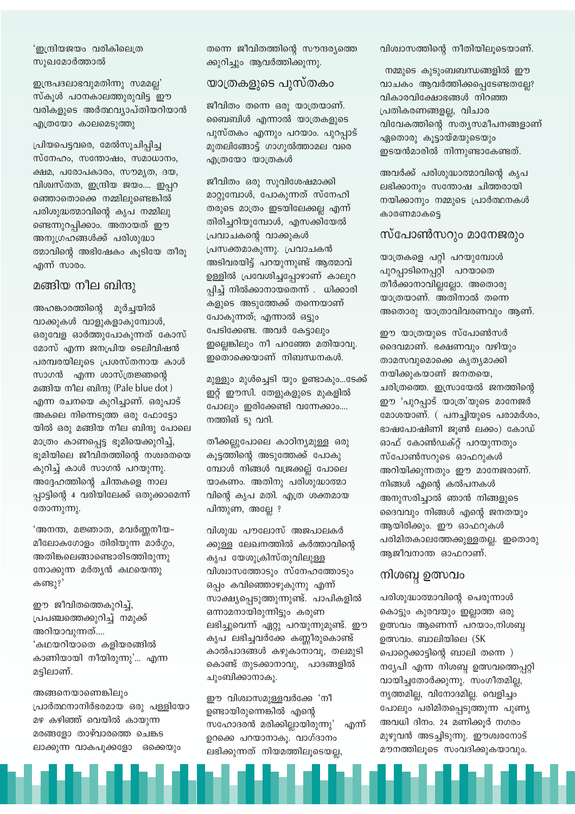'ഇന്ദ്രിയജയം വരികിലെത്ര സുഖമോർത്താൽ

ഇന്ദ്രപദലാഭവുമതിന്നു സമമല്ല' സ്കൂൾ പഠനകാലത്തുരുവിട്ട ഈ വരികളുടെ അർത്ഥവ്യാപ്തിയറിയാൻ എത്രയോ കാലമെടുത്തു

പ്രിയപെട്ടവരെ, മേൽസുചിപ്പിച്ച സ്നേഹം, സന്തോഷം, സമാധാനം, ക്ഷമ, പരോപകാരം, സൗമൃത, ദയ, വിശ്വസ്തത, ഇന്ദ്രിയ ജയം.... ഇപ്പറ ഞ്ഞൊതൊക്കെ നമ്മിലുണ്ടെങ്കിൽ പരിശുദ്ധത്മാവിന്റെ കൃപ നമ്മിലു ണ്ടെന്നുറപ്പിക്കാം. അതായത് ഈ അനുഗ്രഹങ്ങൾക്ക് പരിശുദ്ധാ ത്മാവിന്റെ അഭിഷേകം കൂടിയേ തീരു എന്ന് സാരം.

#### മങ്ങിയ നീല ബിന്ദു

അഹങ്കാരത്തിന്റെ മൂർച്ചയിൽ വാക്കുകൾ വാളുകളാകുമ്പോൾ, ഒരുവേള ഓർത്തുപോകുന്നത് കോസ് മോസ് എന്ന ജനപ്രിയ ടെലിവിഷൻ പരമ്പരയിലൂടെ പ്രശസ്തനായ കാൾ സാഗൻ എന്ന ശാസ്ത്രജ്ഞന്റെ മങ്ങിയ നീല ബിന്ദു (Pale blue dot) എന്ന രചനയെ കുറിച്ചാണ്. ഒരുപാട് അകലെ നിന്നെടുത്ത ഒരു ഫോട്ടോ യിൽ ഒരു മങ്ങിയ നീല ബിന്ദു പോലെ മാത്രം കാണപ്പെട്ട ഭൂമിയെക്കുറിച്ച്, ഭുമിയിലെ ജീവിതത്തിന്റെ നശ്വരതയെ കുറിച്ച് കാൾ സാഗൻ പറയുന്നു. അദ്ദേഹത്തിന്റെ ചിന്തകളെ നാല പ്പാട്ടിന്റെ 4 വരിയിലേക്ക് ഒതുക്കാമെന്ന് തോന്നുന്നു.

'അനന്ത, മജ്ഞാത, മവർണ്ണനീയ-മീലോകഗോളം തിരിയുന്ന മാർഗ്ഗം, അതിങ്കലെങ്ങാണ്ടൊരിടത്തിരുന്നു നോക്കുന്ന മർത്യൻ കഥയെന്തു കണ്ടു?'

ഈ ജീവിതത്തെകുറിച്ച്, പ്രപഞ്ചത്തെക്കുറിച്ച് നമുക്ക് അറിയാവുന്നത്.... 'കഥയറിയാതെ കളിയരങ്ങിൽ കാണിയായി നീയിരുന്നു'... എന്ന മട്ടിലാണ്.

അങ്ങനെയാണെങ്കിലും പ്രാർത്ഥനാനിർഭരമായ ഒരു പള്ളിയോ മഴ കഴിഞ്ഞ് വെയിൽ കായുന്ന മരങ്ങളോ താഴ്വാരത്തെ ചെങ്കട ലാക്കുന്ന വാകപൂക്കളോ ഒക്കെയും

തന്നെ ജീവിതത്തിന്റെ സൗന്ദര്യത്തെ ക്കുറിച്ചും ആവർത്തിക്കുന്നു.

#### യാത്രകളുടെ പുസ്തകം

ജീവിതം തന്നെ ഒരു യാത്രയാണ്. ബൈബിൾ എന്നാൽ യാത്രകളുടെ പുസ്തകം എന്നും പറയാം. പുറപ്പാട് മുതലിങ്ങോട്ട് ഗാഗുൽത്താമല വരെ എത്രയോ യാത്രകൾ

ജീവിതം ഒരു സുവിശേഷമാക്കി മാറ്റുമ്പോൾ, പോകുന്നത് സ്നേഹി തരുടെ മാത്രം ഇടയിലേക്കല്ല എന്ന് തിരിച്ചറിയുമ്പോൾ, എസക്കിയേൽ പ്രവാചകന്റെ വാക്കുകൾ പ്രസക്തമാകുന്നു. പ്രവാചകൻ അടിവരയിട്ട് പറയുന്നുണ്ട് ആത്മാവ് ഉള്ളിൽ പ്രവേശിച്ചപ്പോഴാണ് കാലുറ പ്പിച്ച് നിൽക്കാനായതെന്ന് . ധിക്കാരി കളുടെ അടുത്തേക്ക് തന്നെയാണ് പോകുന്നത്; എന്നാൽ ഒട്ടും പേടിക്കേണ്ട. അവർ കേട്ടാലും ഇല്ലെങ്കിലും നീ പറഞ്ഞേ മതിയാവു. ഇതൊക്കെയാണ് നിബന്ധനകൾ.

മുള്ളും മൂൾച്ചെടി യും ഉണ്ടാകും...ടേക്ക് ഇറ്റ് ഈസി. തേളുകളുടെ മുകളിൽ പോലും ഇരിക്കേണ്ടി വന്നേക്കാം.... നത്തിങ് ടു വറി.

തീക്കല്ലുപോലെ കാഠിന്യമുള്ള ഒരു കുട്ടത്തിന്റെ അടുത്തേക്ക് പോകു മ്പോൾ നിങ്ങൾ വജ്രക്കല്ല് പോലെ യാകണം. അതിനു പരിശുദ്ധാത്മാ വിന്റെ കൃപ മതി. എത്ര ശക്തമായ പിന്തുണ, അല്ലേ ?

വിശുദ്ധ പൗലോസ് അജപാലകർ ക്കുള്ള ലേഖനത്തിൽ കർത്താവിന്റെ കൃപ യേശുക്രിസ്തുവിലുള്ള വിശ്വാസത്തോടും സ്നേഹത്തോടും ഒപ്പം കവിഞ്ഞൊഴുകുന്നു എന്ന് സാക്ഷ്യപ്പെടുത്തുന്നുണ്ട്. പാപികളിൽ ഒന്നാമനായിരുന്നിട്ടും കരുണ ലഭിച്ചുവെന്ന് ഏറ്റു പറയുന്നുമുണ്ട്. ഈ കൃപ ലഭിച്ചവർക്കേ കണ്ണീരുകൊണ്ട് കാൽപാദങ്ങൾ കഴുകാനാവൂ, തലമുടി കൊണ്ട് തുടക്കാനാവു, പാദങ്ങളിൽ ചുംബിക്കാനാകൂ.

ഈ വിശ്വാസമുള്ളവർക്കേ 'നീ ഉണ്ടായിരുന്നെങ്കിൽ എന്റെ സഹോദരൻ മരിക്കില്ലായിരുന്നു' എന്ന് ഉറക്കെ പറയാനാകൂ. വാഗ്ദാനം ലഭിക്കുന്നത് നിയമത്തിലൂടെയല്ല,

വിശ്വാസത്തിന്റെ നീതിയിലൂടെയാണ്.

നമ്മുടെ കൂടുംബബന്ധങ്ങളിൽ ഈ വാചകം ആവർത്തിക്കപ്പെടേണ്ടതല്ലേ? വികാരവിക്ഷോഭങ്ങൾ നിറഞ്ഞ പ്രതികരണങ്ങളല്ല, വിചാര വിവേകത്തിന്റെ സത്യസമീപനങ്ങളാണ് ഏതൊരു കൂട്ടായ്മയുടെയും ഇടയൻമാരിൽ നിന്നുണ്ടാകേണ്ടത്.

അവർക്ക് പരിശുദ്ധാത്മാവിന്റെ കൃപ ലഭിക്കാനും സന്തോഷ ചിത്തരായി നയിക്കാനും നമ്മുടെ പ്രാർത്ഥനകൾ കാരണമാകട്ടെ

#### സ്പോൺസറും മാനേജരും

യാത്രകളെ പറ്റി പറയുമ്പോൾ പുറപ്പാടിനെപ്പറ്റി പറയാതെ തീർക്കാനാവില്ലല്ലോ. അതൊരു യാത്രയാണ്. അതിനാൽ തന്നെ അതൊരു യാത്രാവിവരണവും ആണ്.

ഈ യാത്രയുടെ സ്പോൺസർ ദൈവമാണ്. ഭക്ഷണവും വഴിയും താമസവുമൊക്കെ കൃത്യമാക്കി നയിക്കുകയാണ് ജനതയെ, ചരിത്രത്തെ. ഇസ്രായേൽ ജനത്തിന്റെ ഈ 'പുറപ്പാട് യാത്ര'യുടെ മാനേജർ മോശയാണ്. ( പനച്ചിയുടെ പരാമർശം, ഭാഷപോഷിണി ജുൺ ലക്കം) കോഡ് ഓഫ് കോൺഡക്റ്റ് പറയുന്നതും സ്പോൺസറുടെ ഓഫറുകൾ അറിയിക്കുന്നതും ഈ മാനേജരാണ്. നിങ്ങൾ എന്റെ കൽപനകൾ അനുസരിച്ചാൽ ഞാൻ നിങ്ങളുടെ ദൈവവും നിങ്ങൾ എന്റെ ജനതയും ആയിരിക്കും. ഈ ഓഫറുകൾ പരിമിതകാലത്തേക്കുള്ളതല്ല. ഇതൊരു ആജീവനാന്ത ഓഫറാണ്.

#### നിശബ്ദ ഉത്സവം

പരിശുദ്ധാത്മാവിന്റെ പെരുന്നാൾ കൊട്ടും കുരവയും ഇല്ലാത്ത ഒരു ഉത്സവം ആണെന്ന് പറയാം,നിശബ്ബ ഉത്സവം. ബാലിയിലെ (SK പൊറ്റെക്കാട്ടിന്റെ ബാലി തന്നെ ) നട്യേപി എന്ന നിശബ്ദ ഉത്സവത്തെപ്പറ്റി വായിച്ചതോർക്കുന്നു. സംഗീതമില്ല, നൃത്തമില്ല, വിനോദമില്ല. വെളിച്ചം പോലും പരിമിതപ്പെടുത്തുന്ന പുണ്യ അവധി ദിനം. 24 മണിക്കൂർ നഗരം മുഴുവൻ അടചിടുന്നു. ഈശ്വരനോട് മൗനത്തിലൂടെ സംവദിക്കുകയാവും.